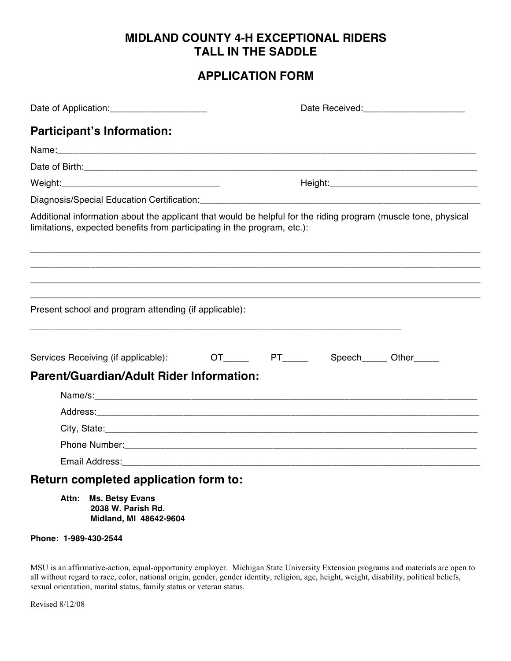# **MIDLAND COUNTY 4-H EXCEPTIONAL RIDERS TALL IN THE SADDLE**

# **APPLICATION FORM**

|                                                                          | Date Received:_________________________                                                                        |
|--------------------------------------------------------------------------|----------------------------------------------------------------------------------------------------------------|
| <b>Participant's Information:</b>                                        |                                                                                                                |
|                                                                          |                                                                                                                |
|                                                                          |                                                                                                                |
|                                                                          |                                                                                                                |
|                                                                          |                                                                                                                |
| limitations, expected benefits from participating in the program, etc.): | Additional information about the applicant that would be helpful for the riding program (muscle tone, physical |
|                                                                          |                                                                                                                |
| Present school and program attending (if applicable):                    |                                                                                                                |
| Services Receiving (if applicable):                                      | OT______  PT______  Speech______ Other_____                                                                    |
| Parent/Guardian/Adult Rider Information:                                 |                                                                                                                |
|                                                                          |                                                                                                                |
|                                                                          |                                                                                                                |
|                                                                          |                                                                                                                |
|                                                                          |                                                                                                                |
|                                                                          |                                                                                                                |
| Return completed application form to:                                    |                                                                                                                |

**Attn: Ms. Betsy Evans 2038 W. Parish Rd. Midland, MI 48642-9604**

## **Phone: 1-989-430-2544**

MSU is an affirmative-action, equal-opportunity employer. Michigan State University Extension programs and materials are open to all without regard to race, color, national origin, gender, gender identity, religion, age, height, weight, disability, political beliefs, sexual orientation, marital status, family status or veteran status.

Revised 8/12/08